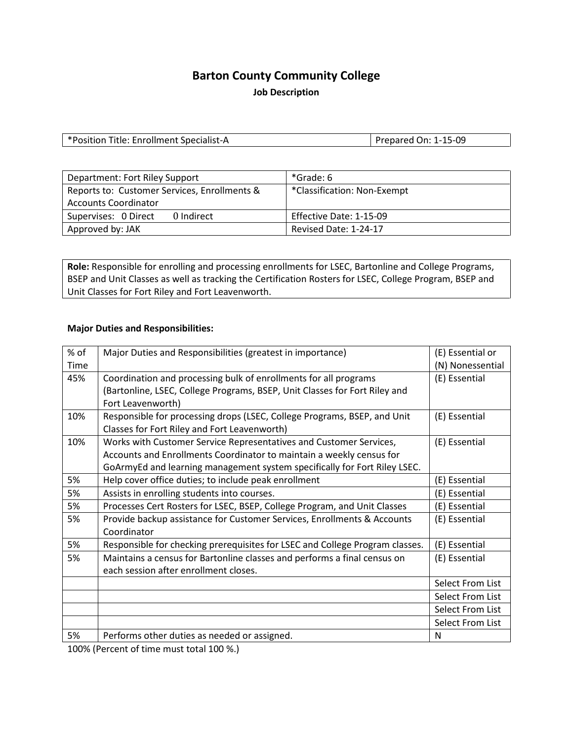## **Barton County Community College**

**Job Description**

| *Position Title: Enrollment Specialist-A | Prepared On: 1-15-09 |
|------------------------------------------|----------------------|
|------------------------------------------|----------------------|

| Department: Fort Riley Support                                              | *Grade: 6                   |
|-----------------------------------------------------------------------------|-----------------------------|
| Reports to: Customer Services, Enrollments &<br><b>Accounts Coordinator</b> | *Classification: Non-Exempt |
| Supervises: 0 Direct<br>0 Indirect                                          | Effective Date: 1-15-09     |
| Approved by: JAK                                                            | Revised Date: 1-24-17       |

**Role:** Responsible for enrolling and processing enrollments for LSEC, Bartonline and College Programs, BSEP and Unit Classes as well as tracking the Certification Rosters for LSEC, College Program, BSEP and Unit Classes for Fort Riley and Fort Leavenworth.

#### **Major Duties and Responsibilities:**

| % of | Major Duties and Responsibilities (greatest in importance)                   | (E) Essential or |
|------|------------------------------------------------------------------------------|------------------|
| Time |                                                                              | (N) Nonessential |
| 45%  | Coordination and processing bulk of enrollments for all programs             | (E) Essential    |
|      | (Bartonline, LSEC, College Programs, BSEP, Unit Classes for Fort Riley and   |                  |
|      | Fort Leavenworth)                                                            |                  |
| 10%  | Responsible for processing drops (LSEC, College Programs, BSEP, and Unit     | (E) Essential    |
|      | Classes for Fort Riley and Fort Leavenworth)                                 |                  |
| 10%  | Works with Customer Service Representatives and Customer Services,           | (E) Essential    |
|      | Accounts and Enrollments Coordinator to maintain a weekly census for         |                  |
|      | GoArmyEd and learning management system specifically for Fort Riley LSEC.    |                  |
| 5%   | Help cover office duties; to include peak enrollment                         | (E) Essential    |
| 5%   | Assists in enrolling students into courses.                                  | (E) Essential    |
| 5%   | Processes Cert Rosters for LSEC, BSEP, College Program, and Unit Classes     | (E) Essential    |
| 5%   | Provide backup assistance for Customer Services, Enrollments & Accounts      | (E) Essential    |
|      | Coordinator                                                                  |                  |
| 5%   | Responsible for checking prerequisites for LSEC and College Program classes. | (E) Essential    |
| 5%   | Maintains a census for Bartonline classes and performs a final census on     | (E) Essential    |
|      | each session after enrollment closes.                                        |                  |
|      |                                                                              | Select From List |
|      |                                                                              | Select From List |
|      |                                                                              | Select From List |
|      |                                                                              | Select From List |
| 5%   | Performs other duties as needed or assigned.                                 | N                |

100% (Percent of time must total 100 %.)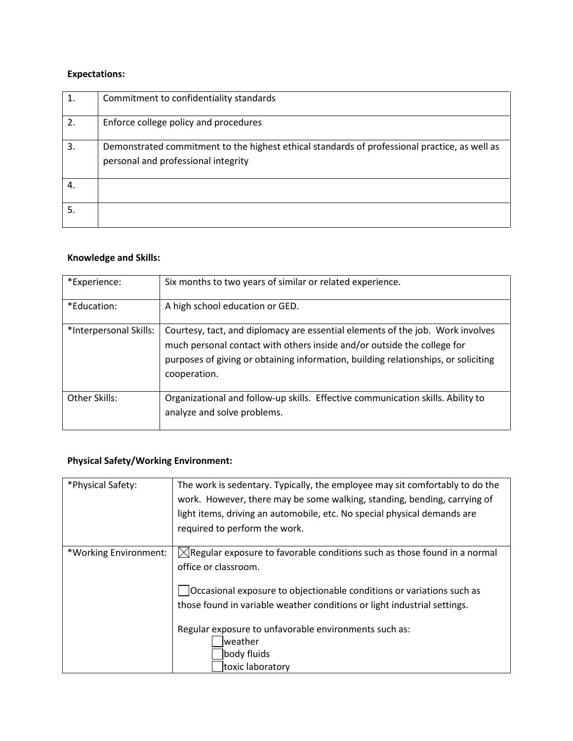## **Expectations:**

| 1. | Commitment to confidentiality standards                                                                                              |
|----|--------------------------------------------------------------------------------------------------------------------------------------|
| 2. | Enforce college policy and procedures                                                                                                |
| 3. | Demonstrated commitment to the highest ethical standards of professional practice, as well as<br>personal and professional integrity |
| 4. |                                                                                                                                      |
| 5. |                                                                                                                                      |

#### **Knowledge and Skills:**

| *Experience:           | Six months to two years of similar or related experience.                                                                                                                                                                                                       |
|------------------------|-----------------------------------------------------------------------------------------------------------------------------------------------------------------------------------------------------------------------------------------------------------------|
| *Education:            | A high school education or GED.                                                                                                                                                                                                                                 |
| *Interpersonal Skills: | Courtesy, tact, and diplomacy are essential elements of the job. Work involves<br>much personal contact with others inside and/or outside the college for<br>purposes of giving or obtaining information, building relationships, or soliciting<br>cooperation. |
| Other Skills:          | Organizational and follow-up skills. Effective communication skills. Ability to<br>analyze and solve problems.                                                                                                                                                  |

# **Physical Safety/Working Environment:**

| *Physical Safety:     | The work is sedentary. Typically, the employee may sit comfortably to do the<br>work. However, there may be some walking, standing, bending, carrying of<br>light items, driving an automobile, etc. No special physical demands are<br>required to perform the work. |
|-----------------------|-----------------------------------------------------------------------------------------------------------------------------------------------------------------------------------------------------------------------------------------------------------------------|
| *Working Environment: | $\boxtimes$ Regular exposure to favorable conditions such as those found in a normal<br>office or classroom.<br>Occasional exposure to objectionable conditions or variations such as<br>those found in variable weather conditions or light industrial settings.     |
|                       | Regular exposure to unfavorable environments such as:<br>weather<br>body fluids<br>toxic laboratory                                                                                                                                                                   |